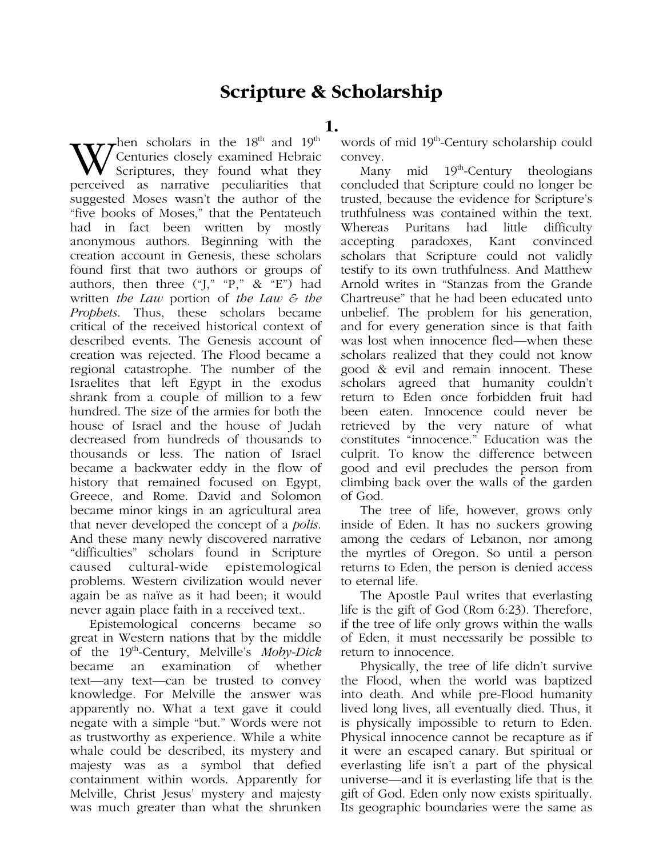## **Scripture & Scholarship**

**1.**

 $\tau$ hen scholars in the 18<sup>th</sup> and 19<sup>th</sup> Centuries closely examined Hebraic Scriptures, they found what they perceived as narrative peculiarities that suggested Moses wasn't the author of the "five books of Moses," that the Pentateuch had in fact been written by mostly anonymous authors. Beginning with the creation account in Genesis, these scholars found first that two authors or groups of authors, then three  $(\mathfrak{I}, \mathfrak{I}, \mathfrak{I}, \mathfrak{I}, \mathfrak{I}, \mathfrak{I}, \mathfrak{I})$  had written *the Law* portion of *the Law & the Prophets*. Thus, these scholars became critical of the received historical context of described events. The Genesis account of creation was rejected. The Flood became a regional catastrophe. The number of the Israelites that left Egypt in the exodus shrank from a couple of million to a few hundred. The size of the armies for both the house of Israel and the house of Judah decreased from hundreds of thousands to thousands or less. The nation of Israel became a backwater eddy in the flow of history that remained focused on Egypt, Greece, and Rome. David and Solomon became minor kings in an agricultural area that never developed the concept of a *polis*. And these many newly discovered narrative "difficulties" scholars found in Scripture caused cultural-wide epistemological problems. Western civilization would never again be as naïve as it had been; it would never again place faith in a received text..

Epistemological concerns became so great in Western nations that by the middle of the 19th-Century, Melville's *Moby-Dick* became an examination of whether text—any text—can be trusted to convey knowledge. For Melville the answer was apparently no. What a text gave it could negate with a simple "but." Words were not as trustworthy as experience. While a white whale could be described, its mystery and majesty was as a symbol that defied containment within words. Apparently for Melville, Christ Jesus' mystery and majesty was much greater than what the shrunken words of mid 19<sup>th</sup>-Century scholarship could convey.

Many mid  $19<sup>th</sup>$ -Century theologians concluded that Scripture could no longer be trusted, because the evidence for Scripture's truthfulness was contained within the text. Whereas Puritans had little difficulty accepting paradoxes, Kant convinced scholars that Scripture could not validly testify to its own truthfulness. And Matthew Arnold writes in "Stanzas from the Grande Chartreuse" that he had been educated unto unbelief. The problem for his generation, and for every generation since is that faith was lost when innocence fled—when these scholars realized that they could not know good & evil and remain innocent. These scholars agreed that humanity couldn't return to Eden once forbidden fruit had been eaten. Innocence could never be retrieved by the very nature of what constitutes "innocence." Education was the culprit. To know the difference between good and evil precludes the person from climbing back over the walls of the garden of God.

The tree of life, however, grows only inside of Eden. It has no suckers growing among the cedars of Lebanon, nor among the myrtles of Oregon. So until a person returns to Eden, the person is denied access to eternal life.

The Apostle Paul writes that everlasting life is the gift of God (Rom 6:23). Therefore, if the tree of life only grows within the walls of Eden, it must necessarily be possible to return to innocence.

Physically, the tree of life didn't survive the Flood, when the world was baptized into death. And while pre-Flood humanity lived long lives, all eventually died. Thus, it is physically impossible to return to Eden. Physical innocence cannot be recapture as if it were an escaped canary. But spiritual or everlasting life isn't a part of the physical universe—and it is everlasting life that is the gift of God. Eden only now exists spiritually. Its geographic boundaries were the same as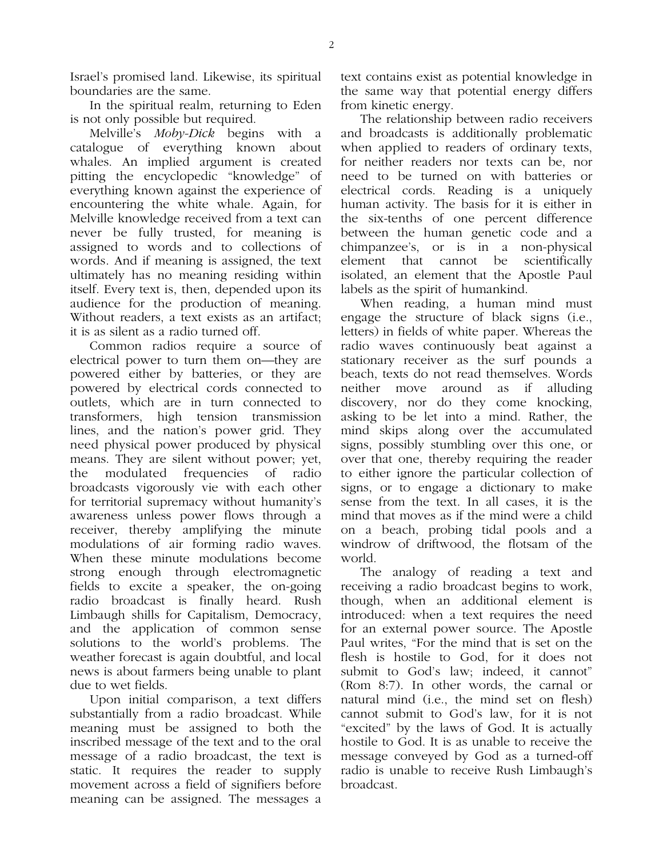Israel's promised land. Likewise, its spiritual boundaries are the same.

In the spiritual realm, returning to Eden is not only possible but required.

Melville's *Moby-Dick* begins with a catalogue of everything known about whales. An implied argument is created pitting the encyclopedic "knowledge" of everything known against the experience of encountering the white whale. Again, for Melville knowledge received from a text can never be fully trusted, for meaning is assigned to words and to collections of words. And if meaning is assigned, the text ultimately has no meaning residing within itself. Every text is, then, depended upon its audience for the production of meaning. Without readers, a text exists as an artifact; it is as silent as a radio turned off.

Common radios require a source of electrical power to turn them on—they are powered either by batteries, or they are powered by electrical cords connected to outlets, which are in turn connected to transformers, high tension transmission lines, and the nation's power grid. They need physical power produced by physical means. They are silent without power; yet, the modulated frequencies of radio broadcasts vigorously vie with each other for territorial supremacy without humanity's awareness unless power flows through a receiver, thereby amplifying the minute modulations of air forming radio waves. When these minute modulations become strong enough through electromagnetic fields to excite a speaker, the on-going radio broadcast is finally heard. Rush Limbaugh shills for Capitalism, Democracy, and the application of common sense solutions to the world's problems. The weather forecast is again doubtful, and local news is about farmers being unable to plant due to wet fields.

Upon initial comparison, a text differs substantially from a radio broadcast. While meaning must be assigned to both the inscribed message of the text and to the oral message of a radio broadcast, the text is static. It requires the reader to supply movement across a field of signifiers before meaning can be assigned. The messages a

text contains exist as potential knowledge in the same way that potential energy differs from kinetic energy.

The relationship between radio receivers and broadcasts is additionally problematic when applied to readers of ordinary texts, for neither readers nor texts can be, nor need to be turned on with batteries or electrical cords. Reading is a uniquely human activity. The basis for it is either in the six-tenths of one percent difference between the human genetic code and a chimpanzee's, or is in a non-physical element that cannot be scientifically isolated, an element that the Apostle Paul labels as the spirit of humankind.

When reading, a human mind must engage the structure of black signs (i.e., letters) in fields of white paper. Whereas the radio waves continuously beat against a stationary receiver as the surf pounds a beach, texts do not read themselves. Words neither move around as if alluding discovery, nor do they come knocking, asking to be let into a mind. Rather, the mind skips along over the accumulated signs, possibly stumbling over this one, or over that one, thereby requiring the reader to either ignore the particular collection of signs, or to engage a dictionary to make sense from the text. In all cases, it is the mind that moves as if the mind were a child on a beach, probing tidal pools and a windrow of driftwood, the flotsam of the world.

The analogy of reading a text and receiving a radio broadcast begins to work, though, when an additional element is introduced: when a text requires the need for an external power source. The Apostle Paul writes, "For the mind that is set on the flesh is hostile to God, for it does not submit to God's law; indeed, it cannot" (Rom 8:7). In other words, the carnal or natural mind (i.e., the mind set on flesh) cannot submit to God's law, for it is not "excited" by the laws of God. It is actually hostile to God. It is as unable to receive the message conveyed by God as a turned-off radio is unable to receive Rush Limbaugh's broadcast.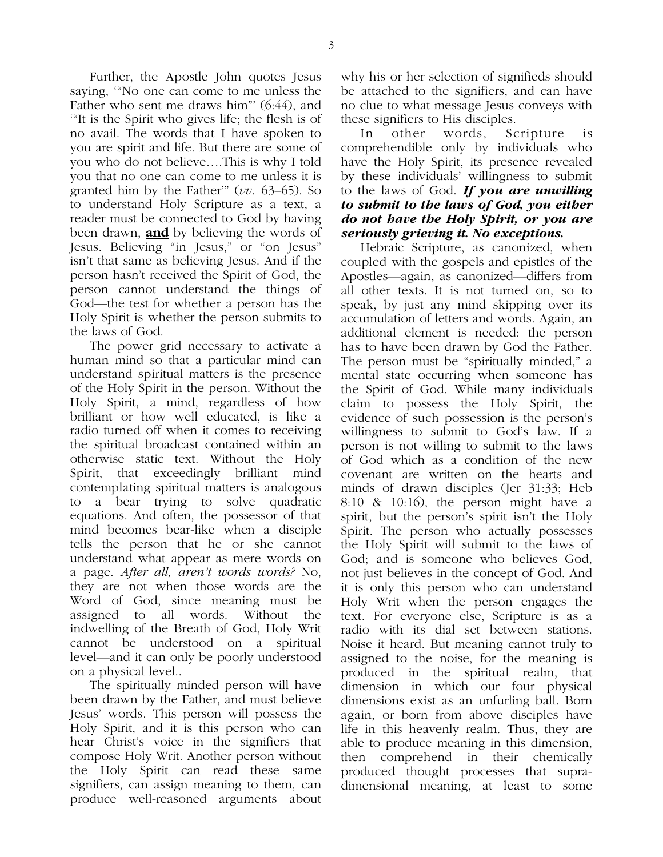Further, the Apostle John quotes Jesus saying, '"No one can come to me unless the Father who sent me draws him"' (6:44), and '"It is the Spirit who gives life; the flesh is of no avail. The words that I have spoken to you are spirit and life. But there are some of you who do not believe….This is why I told you that no one can come to me unless it is granted him by the Father'" (*vv.* 63–65). So to understand Holy Scripture as a text, a reader must be connected to God by having been drawn, **and** by believing the words of Jesus. Believing "in Jesus," or "on Jesus" isn't that same as believing Jesus. And if the person hasn't received the Spirit of God, the person cannot understand the things of God—the test for whether a person has the Holy Spirit is whether the person submits to the laws of God.

The power grid necessary to activate a human mind so that a particular mind can understand spiritual matters is the presence of the Holy Spirit in the person. Without the Holy Spirit, a mind, regardless of how brilliant or how well educated, is like a radio turned off when it comes to receiving the spiritual broadcast contained within an otherwise static text. Without the Holy Spirit, that exceedingly brilliant mind contemplating spiritual matters is analogous to a bear trying to solve quadratic equations. And often, the possessor of that mind becomes bear-like when a disciple tells the person that he or she cannot understand what appear as mere words on a page. *After all, aren't words words?* No, they are not when those words are the Word of God, since meaning must be assigned to all words. Without the indwelling of the Breath of God, Holy Writ cannot be understood on a spiritual level—and it can only be poorly understood on a physical level..

The spiritually minded person will have been drawn by the Father, and must believe Jesus' words. This person will possess the Holy Spirit, and it is this person who can hear Christ's voice in the signifiers that compose Holy Writ. Another person without the Holy Spirit can read these same signifiers, can assign meaning to them, can produce well-reasoned arguments about

why his or her selection of signifieds should be attached to the signifiers, and can have no clue to what message Jesus conveys with these signifiers to His disciples.

In other words, Scripture is comprehendible only by individuals who have the Holy Spirit, its presence revealed by these individuals' willingness to submit to the laws of God. *If you are unwilling to submit to the laws of God, you either do not have the Holy Spirit, or you are seriously grieving it. No exceptions.*

Hebraic Scripture, as canonized, when coupled with the gospels and epistles of the Apostles—again, as canonized—differs from all other texts. It is not turned on, so to speak, by just any mind skipping over its accumulation of letters and words. Again, an additional element is needed: the person has to have been drawn by God the Father. The person must be "spiritually minded," a mental state occurring when someone has the Spirit of God. While many individuals claim to possess the Holy Spirit, the evidence of such possession is the person's willingness to submit to God's law. If a person is not willing to submit to the laws of God which as a condition of the new covenant are written on the hearts and minds of drawn disciples (Jer 31:33; Heb 8:10 & 10:16), the person might have a spirit, but the person's spirit isn't the Holy Spirit. The person who actually possesses the Holy Spirit will submit to the laws of God; and is someone who believes God, not just believes in the concept of God. And it is only this person who can understand Holy Writ when the person engages the text. For everyone else, Scripture is as a radio with its dial set between stations. Noise it heard. But meaning cannot truly to assigned to the noise, for the meaning is produced in the spiritual realm, that dimension in which our four physical dimensions exist as an unfurling ball. Born again, or born from above disciples have life in this heavenly realm. Thus, they are able to produce meaning in this dimension, then comprehend in their chemically produced thought processes that supradimensional meaning, at least to some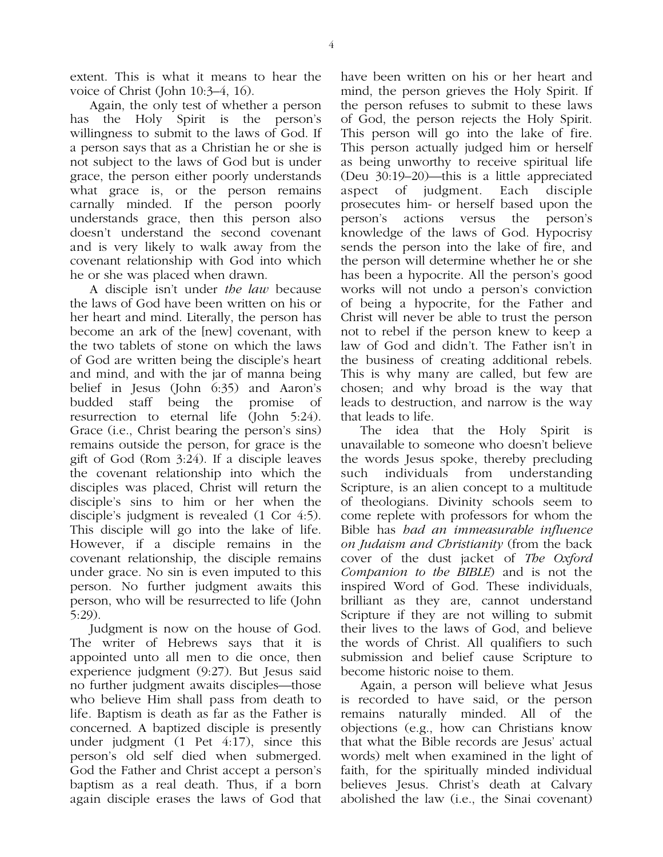extent. This is what it means to hear the voice of Christ (John 10:3–4, 16).

Again, the only test of whether a person has the Holy Spirit is the person's willingness to submit to the laws of God. If a person says that as a Christian he or she is not subject to the laws of God but is under grace, the person either poorly understands what grace is, or the person remains carnally minded. If the person poorly understands grace, then this person also doesn't understand the second covenant and is very likely to walk away from the covenant relationship with God into which he or she was placed when drawn.

A disciple isn't under *the law* because the laws of God have been written on his or her heart and mind. Literally, the person has become an ark of the [new] covenant, with the two tablets of stone on which the laws of God are written being the disciple's heart and mind, and with the jar of manna being belief in Jesus (John 6:35) and Aaron's budded staff being the promise of resurrection to eternal life (John 5:24). Grace (i.e., Christ bearing the person's sins) remains outside the person, for grace is the gift of God (Rom 3:24). If a disciple leaves the covenant relationship into which the disciples was placed, Christ will return the disciple's sins to him or her when the disciple's judgment is revealed (1 Cor 4:5). This disciple will go into the lake of life. However, if a disciple remains in the covenant relationship, the disciple remains under grace. No sin is even imputed to this person. No further judgment awaits this person, who will be resurrected to life (John 5:29).

Judgment is now on the house of God. The writer of Hebrews says that it is appointed unto all men to die once, then experience judgment (9:27). But Jesus said no further judgment awaits disciples—those who believe Him shall pass from death to life. Baptism is death as far as the Father is concerned. A baptized disciple is presently under judgment (1 Pet 4:17), since this person's old self died when submerged. God the Father and Christ accept a person's baptism as a real death. Thus, if a born again disciple erases the laws of God that

have been written on his or her heart and mind, the person grieves the Holy Spirit. If the person refuses to submit to these laws of God, the person rejects the Holy Spirit. This person will go into the lake of fire. This person actually judged him or herself as being unworthy to receive spiritual life (Deu 30:19–20)—this is a little appreciated aspect of judgment. Each disciple prosecutes him- or herself based upon the person's actions versus the person's knowledge of the laws of God. Hypocrisy sends the person into the lake of fire, and the person will determine whether he or she has been a hypocrite. All the person's good works will not undo a person's conviction of being a hypocrite, for the Father and Christ will never be able to trust the person not to rebel if the person knew to keep a law of God and didn't. The Father isn't in the business of creating additional rebels. This is why many are called, but few are chosen; and why broad is the way that leads to destruction, and narrow is the way that leads to life.

The idea that the Holy Spirit is unavailable to someone who doesn't believe the words Jesus spoke, thereby precluding such individuals from understanding Scripture, is an alien concept to a multitude of theologians. Divinity schools seem to come replete with professors for whom the Bible has *had an immeasurable influence on Judaism and Christianity* (from the back cover of the dust jacket of *The Oxford Companion to the BIBLE*) and is not the inspired Word of God. These individuals, brilliant as they are, cannot understand Scripture if they are not willing to submit their lives to the laws of God, and believe the words of Christ. All qualifiers to such submission and belief cause Scripture to become historic noise to them.

Again, a person will believe what Jesus is recorded to have said, or the person remains naturally minded. All of the objections (e.g., how can Christians know that what the Bible records are Jesus' actual words) melt when examined in the light of faith, for the spiritually minded individual believes Jesus. Christ's death at Calvary abolished the law (i.e., the Sinai covenant)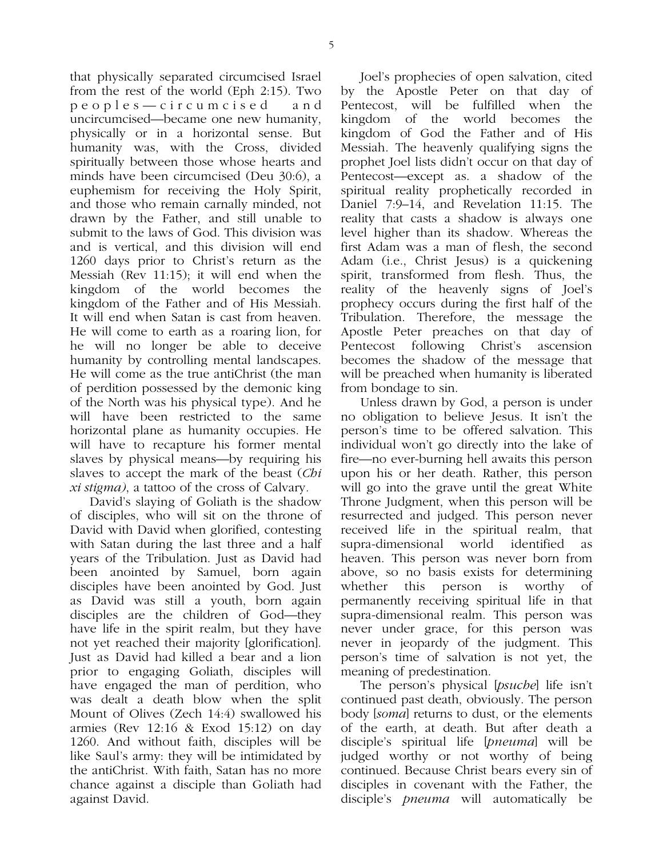that physically separated circumcised Israel from the rest of the world (Eph 2:15). Two peoples—circumcised and uncircumcised—became one new humanity, physically or in a horizontal sense. But humanity was, with the Cross, divided spiritually between those whose hearts and minds have been circumcised (Deu 30:6), a euphemism for receiving the Holy Spirit, and those who remain carnally minded, not drawn by the Father, and still unable to submit to the laws of God. This division was and is vertical, and this division will end 1260 days prior to Christ's return as the Messiah (Rev 11:15); it will end when the kingdom of the world becomes the kingdom of the Father and of His Messiah. It will end when Satan is cast from heaven. He will come to earth as a roaring lion, for he will no longer be able to deceive humanity by controlling mental landscapes. He will come as the true antiChrist (the man of perdition possessed by the demonic king of the North was his physical type). And he will have been restricted to the same horizontal plane as humanity occupies. He will have to recapture his former mental slaves by physical means—by requiring his slaves to accept the mark of the beast (*Chi xi stigma)*, a tattoo of the cross of Calvary*.*

David's slaying of Goliath is the shadow of disciples, who will sit on the throne of David with David when glorified, contesting with Satan during the last three and a half years of the Tribulation. Just as David had been anointed by Samuel, born again disciples have been anointed by God. Just as David was still a youth, born again disciples are the children of God—they have life in the spirit realm, but they have not yet reached their majority [glorification]. Just as David had killed a bear and a lion prior to engaging Goliath, disciples will have engaged the man of perdition, who was dealt a death blow when the split Mount of Olives (Zech 14:4) swallowed his armies (Rev 12:16 & Exod 15:12) on day 1260. And without faith, disciples will be like Saul's army: they will be intimidated by the antiChrist. With faith, Satan has no more chance against a disciple than Goliath had against David.

Joel's prophecies of open salvation, cited by the Apostle Peter on that day of Pentecost, will be fulfilled when the kingdom of the world becomes the kingdom of God the Father and of His Messiah. The heavenly qualifying signs the prophet Joel lists didn't occur on that day of Pentecost—except as. a shadow of the spiritual reality prophetically recorded in Daniel 7:9–14, and Revelation 11:15. The reality that casts a shadow is always one level higher than its shadow. Whereas the first Adam was a man of flesh, the second Adam (i.e., Christ Jesus) is a quickening spirit, transformed from flesh. Thus, the reality of the heavenly signs of Joel's prophecy occurs during the first half of the Tribulation. Therefore, the message the Apostle Peter preaches on that day of Pentecost following Christ's ascension becomes the shadow of the message that will be preached when humanity is liberated from bondage to sin.

Unless drawn by God, a person is under no obligation to believe Jesus. It isn't the person's time to be offered salvation. This individual won't go directly into the lake of fire—no ever-burning hell awaits this person upon his or her death. Rather, this person will go into the grave until the great White Throne Judgment, when this person will be resurrected and judged. This person never received life in the spiritual realm, that supra-dimensional world identified as heaven. This person was never born from above, so no basis exists for determining whether this person is worthy of permanently receiving spiritual life in that supra-dimensional realm. This person was never under grace, for this person was never in jeopardy of the judgment. This person's time of salvation is not yet, the meaning of predestination.

The person's physical [*psuche*] life isn't continued past death, obviously. The person body [*soma*] returns to dust, or the elements of the earth, at death. But after death a disciple's spiritual life [*pneuma*] will be judged worthy or not worthy of being continued. Because Christ bears every sin of disciples in covenant with the Father, the disciple's *pneuma* will automatically be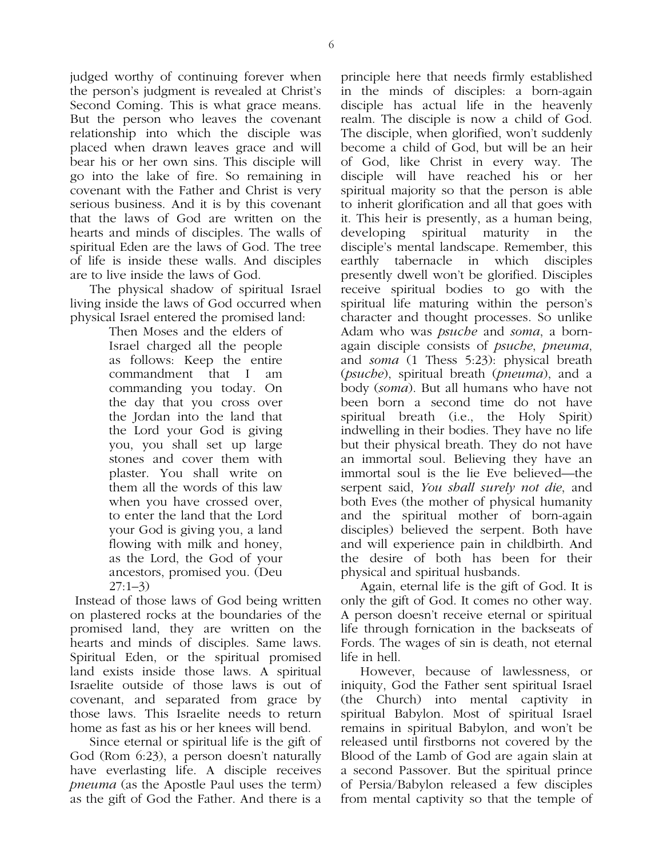judged worthy of continuing forever when the person's judgment is revealed at Christ's Second Coming. This is what grace means. But the person who leaves the covenant relationship into which the disciple was placed when drawn leaves grace and will bear his or her own sins. This disciple will go into the lake of fire. So remaining in covenant with the Father and Christ is very serious business. And it is by this covenant that the laws of God are written on the hearts and minds of disciples. The walls of spiritual Eden are the laws of God. The tree of life is inside these walls. And disciples are to live inside the laws of God.

The physical shadow of spiritual Israel living inside the laws of God occurred when physical Israel entered the promised land:

Then Moses and the elders of Israel charged all the people as follows: Keep the entire commandment that I am commanding you today. On the day that you cross over the Jordan into the land that the Lord your God is giving you, you shall set up large stones and cover them with plaster. You shall write on them all the words of this law when you have crossed over, to enter the land that the Lord your God is giving you, a land flowing with milk and honey, as the Lord, the God of your ancestors, promised you. (Deu 27:1–3)

 Instead of those laws of God being written on plastered rocks at the boundaries of the promised land, they are written on the hearts and minds of disciples. Same laws. Spiritual Eden, or the spiritual promised land exists inside those laws. A spiritual Israelite outside of those laws is out of covenant, and separated from grace by those laws. This Israelite needs to return home as fast as his or her knees will bend.

Since eternal or spiritual life is the gift of God (Rom 6:23), a person doesn't naturally have everlasting life. A disciple receives *pneuma* (as the Apostle Paul uses the term) as the gift of God the Father. And there is a

principle here that needs firmly established in the minds of disciples: a born-again disciple has actual life in the heavenly realm. The disciple is now a child of God. The disciple, when glorified, won't suddenly become a child of God, but will be an heir of God, like Christ in every way. The disciple will have reached his or her spiritual majority so that the person is able to inherit glorification and all that goes with it. This heir is presently, as a human being, developing spiritual maturity in the disciple's mental landscape. Remember, this earthly tabernacle in which disciples presently dwell won't be glorified. Disciples receive spiritual bodies to go with the spiritual life maturing within the person's character and thought processes. So unlike Adam who was *psuche* and *soma*, a bornagain disciple consists of *psuche*, *pneuma*, and *soma* (1 Thess 5:23): physical breath (*psuche*), spiritual breath (*pneuma*), and a body (*soma*). But all humans who have not been born a second time do not have spiritual breath (i.e., the Holy Spirit) indwelling in their bodies. They have no life but their physical breath. They do not have an immortal soul. Believing they have an immortal soul is the lie Eve believed—the serpent said, *You shall surely not die*, and both Eves (the mother of physical humanity and the spiritual mother of born-again disciples) believed the serpent. Both have and will experience pain in childbirth. And the desire of both has been for their physical and spiritual husbands.

Again, eternal life is the gift of God. It is only the gift of God. It comes no other way. A person doesn't receive eternal or spiritual life through fornication in the backseats of Fords. The wages of sin is death, not eternal life in hell.

However, because of lawlessness, or iniquity, God the Father sent spiritual Israel (the Church) into mental captivity in spiritual Babylon. Most of spiritual Israel remains in spiritual Babylon, and won't be released until firstborns not covered by the Blood of the Lamb of God are again slain at a second Passover. But the spiritual prince of Persia/Babylon released a few disciples from mental captivity so that the temple of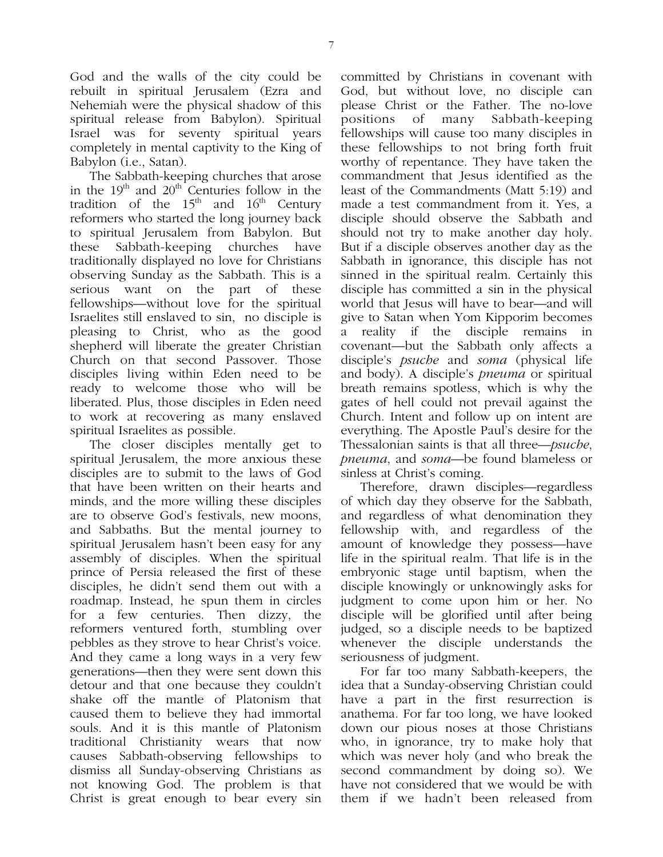God and the walls of the city could be rebuilt in spiritual Jerusalem (Ezra and Nehemiah were the physical shadow of this spiritual release from Babylon). Spiritual Israel was for seventy spiritual years completely in mental captivity to the King of Babylon (i.e., Satan).

The Sabbath-keeping churches that arose in the  $19<sup>th</sup>$  and  $20<sup>th</sup>$  Centuries follow in the tradition of the  $15<sup>th</sup>$  and  $16<sup>th</sup>$  Century reformers who started the long journey back to spiritual Jerusalem from Babylon. But these Sabbath-keeping churches have traditionally displayed no love for Christians observing Sunday as the Sabbath. This is a serious want on the part of these fellowships—without love for the spiritual Israelites still enslaved to sin, no disciple is pleasing to Christ, who as the good shepherd will liberate the greater Christian Church on that second Passover. Those disciples living within Eden need to be ready to welcome those who will be liberated. Plus, those disciples in Eden need to work at recovering as many enslaved spiritual Israelites as possible.

The closer disciples mentally get to spiritual Jerusalem, the more anxious these disciples are to submit to the laws of God that have been written on their hearts and minds, and the more willing these disciples are to observe God's festivals, new moons, and Sabbaths. But the mental journey to spiritual Jerusalem hasn't been easy for any assembly of disciples. When the spiritual prince of Persia released the first of these disciples, he didn't send them out with a roadmap. Instead, he spun them in circles for a few centuries. Then dizzy, the reformers ventured forth, stumbling over pebbles as they strove to hear Christ's voice. And they came a long ways in a very few generations—then they were sent down this detour and that one because they couldn't shake off the mantle of Platonism that caused them to believe they had immortal souls. And it is this mantle of Platonism traditional Christianity wears that now causes Sabbath-observing fellowships to dismiss all Sunday-observing Christians as not knowing God. The problem is that Christ is great enough to bear every sin

committed by Christians in covenant with God, but without love, no disciple can please Christ or the Father. The no-love positions of many Sabbath-keeping fellowships will cause too many disciples in these fellowships to not bring forth fruit worthy of repentance. They have taken the commandment that Jesus identified as the least of the Commandments (Matt 5:19) and made a test commandment from it. Yes, a disciple should observe the Sabbath and should not try to make another day holy. But if a disciple observes another day as the Sabbath in ignorance, this disciple has not sinned in the spiritual realm. Certainly this disciple has committed a sin in the physical world that Jesus will have to bear—and will give to Satan when Yom Kipporim becomes a reality if the disciple remains in covenant—but the Sabbath only affects a disciple's *psuche* and *soma* (physical life and body). A disciple's *pneuma* or spiritual breath remains spotless, which is why the gates of hell could not prevail against the Church. Intent and follow up on intent are everything. The Apostle Paul's desire for the Thessalonian saints is that all three—*psuche*, *pneuma*, and *soma*—be found blameless or sinless at Christ's coming.

Therefore, drawn disciples—regardless of which day they observe for the Sabbath, and regardless of what denomination they fellowship with, and regardless of the amount of knowledge they possess—have life in the spiritual realm. That life is in the embryonic stage until baptism, when the disciple knowingly or unknowingly asks for judgment to come upon him or her. No disciple will be glorified until after being judged, so a disciple needs to be baptized whenever the disciple understands the seriousness of judgment.

For far too many Sabbath-keepers, the idea that a Sunday-observing Christian could have a part in the first resurrection is anathema. For far too long, we have looked down our pious noses at those Christians who, in ignorance, try to make holy that which was never holy (and who break the second commandment by doing so). We have not considered that we would be with them if we hadn't been released from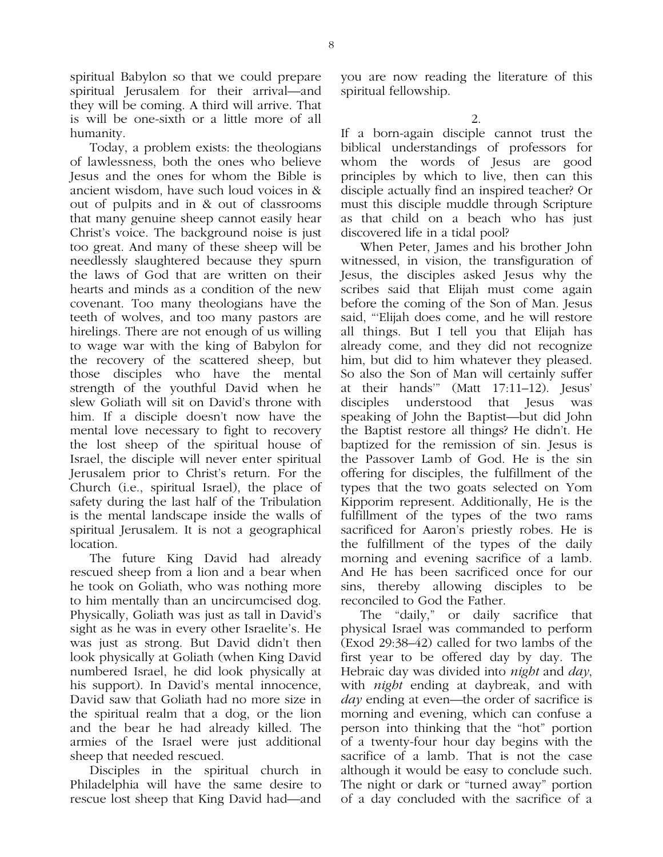spiritual Babylon so that we could prepare spiritual Jerusalem for their arrival—and they will be coming. A third will arrive. That is will be one-sixth or a little more of all humanity.

Today, a problem exists: the theologians of lawlessness, both the ones who believe Jesus and the ones for whom the Bible is ancient wisdom, have such loud voices in & out of pulpits and in & out of classrooms that many genuine sheep cannot easily hear Christ's voice. The background noise is just too great. And many of these sheep will be needlessly slaughtered because they spurn the laws of God that are written on their hearts and minds as a condition of the new covenant. Too many theologians have the teeth of wolves, and too many pastors are hirelings. There are not enough of us willing to wage war with the king of Babylon for the recovery of the scattered sheep, but those disciples who have the mental strength of the youthful David when he slew Goliath will sit on David's throne with him. If a disciple doesn't now have the mental love necessary to fight to recovery the lost sheep of the spiritual house of Israel, the disciple will never enter spiritual Jerusalem prior to Christ's return. For the Church (i.e., spiritual Israel), the place of safety during the last half of the Tribulation is the mental landscape inside the walls of spiritual Jerusalem. It is not a geographical location.

The future King David had already rescued sheep from a lion and a bear when he took on Goliath, who was nothing more to him mentally than an uncircumcised dog. Physically, Goliath was just as tall in David's sight as he was in every other Israelite's. He was just as strong. But David didn't then look physically at Goliath (when King David numbered Israel, he did look physically at his support). In David's mental innocence, David saw that Goliath had no more size in the spiritual realm that a dog, or the lion and the bear he had already killed. The armies of the Israel were just additional sheep that needed rescued.

Disciples in the spiritual church in Philadelphia will have the same desire to rescue lost sheep that King David had—and you are now reading the literature of this spiritual fellowship.

If a born-again disciple cannot trust the biblical understandings of professors for whom the words of Jesus are good principles by which to live, then can this disciple actually find an inspired teacher? Or must this disciple muddle through Scripture as that child on a beach who has just discovered life in a tidal pool?

When Peter, James and his brother John witnessed, in vision, the transfiguration of Jesus, the disciples asked Jesus why the scribes said that Elijah must come again before the coming of the Son of Man. Jesus said, "'Elijah does come, and he will restore all things. But I tell you that Elijah has already come, and they did not recognize him, but did to him whatever they pleased. So also the Son of Man will certainly suffer at their hands'" (Matt 17:11–12). Jesus' disciples understood that Jesus was speaking of John the Baptist—but did John the Baptist restore all things? He didn't. He baptized for the remission of sin. Jesus is the Passover Lamb of God. He is the sin offering for disciples, the fulfillment of the types that the two goats selected on Yom Kipporim represent. Additionally, He is the fulfillment of the types of the two rams sacrificed for Aaron's priestly robes. He is the fulfillment of the types of the daily morning and evening sacrifice of a lamb. And He has been sacrificed once for our sins, thereby allowing disciples to be reconciled to God the Father.

The "daily," or daily sacrifice that physical Israel was commanded to perform (Exod 29:38–42) called for two lambs of the first year to be offered day by day. The Hebraic day was divided into *night* and *day*, with *night* ending at daybreak, and with *day* ending at even—the order of sacrifice is morning and evening, which can confuse a person into thinking that the "hot" portion of a twenty-four hour day begins with the sacrifice of a lamb. That is not the case although it would be easy to conclude such. The night or dark or "turned away" portion of a day concluded with the sacrifice of a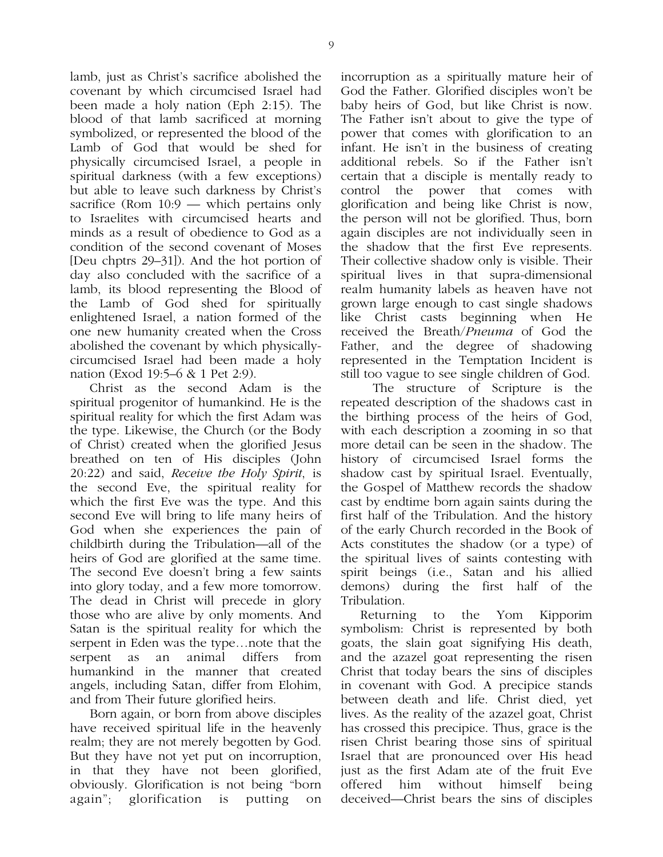lamb, just as Christ's sacrifice abolished the covenant by which circumcised Israel had been made a holy nation (Eph 2:15). The blood of that lamb sacrificed at morning symbolized, or represented the blood of the Lamb of God that would be shed for physically circumcised Israel, a people in spiritual darkness (with a few exceptions) but able to leave such darkness by Christ's sacrifice (Rom 10:9 — which pertains only to Israelites with circumcised hearts and minds as a result of obedience to God as a condition of the second covenant of Moses [Deu chptrs 29–31]). And the hot portion of day also concluded with the sacrifice of a lamb, its blood representing the Blood of the Lamb of God shed for spiritually enlightened Israel, a nation formed of the one new humanity created when the Cross abolished the covenant by which physicallycircumcised Israel had been made a holy nation (Exod 19:5–6 & 1 Pet 2:9).

Christ as the second Adam is the spiritual progenitor of humankind. He is the spiritual reality for which the first Adam was the type. Likewise, the Church (or the Body of Christ) created when the glorified Jesus breathed on ten of His disciples (John 20:22) and said, *Receive the Holy Spirit*, is the second Eve, the spiritual reality for which the first Eve was the type. And this second Eve will bring to life many heirs of God when she experiences the pain of childbirth during the Tribulation—all of the heirs of God are glorified at the same time. The second Eve doesn't bring a few saints into glory today, and a few more tomorrow. The dead in Christ will precede in glory those who are alive by only moments. And Satan is the spiritual reality for which the serpent in Eden was the type…note that the serpent as an animal differs from humankind in the manner that created angels, including Satan, differ from Elohim, and from Their future glorified heirs.

Born again, or born from above disciples have received spiritual life in the heavenly realm; they are not merely begotten by God. But they have not yet put on incorruption, in that they have not been glorified, obviously. Glorification is not being "born again"; glorification is putting on

incorruption as a spiritually mature heir of God the Father. Glorified disciples won't be baby heirs of God, but like Christ is now. The Father isn't about to give the type of power that comes with glorification to an infant. He isn't in the business of creating additional rebels. So if the Father isn't certain that a disciple is mentally ready to control the power that comes with glorification and being like Christ is now, the person will not be glorified. Thus, born again disciples are not individually seen in the shadow that the first Eve represents. Their collective shadow only is visible. Their spiritual lives in that supra-dimensional realm humanity labels as heaven have not grown large enough to cast single shadows like Christ casts beginning when He received the Breath/*Pneuma* of God the Father, and the degree of shadowing represented in the Temptation Incident is still too vague to see single children of God.

 The structure of Scripture is the repeated description of the shadows cast in the birthing process of the heirs of God, with each description a zooming in so that more detail can be seen in the shadow. The history of circumcised Israel forms the shadow cast by spiritual Israel. Eventually, the Gospel of Matthew records the shadow cast by endtime born again saints during the first half of the Tribulation. And the history of the early Church recorded in the Book of Acts constitutes the shadow (or a type) of the spiritual lives of saints contesting with spirit beings (i.e., Satan and his allied demons) during the first half of the Tribulation.

Returning to the Yom Kipporim symbolism: Christ is represented by both goats, the slain goat signifying His death, and the azazel goat representing the risen Christ that today bears the sins of disciples in covenant with God. A precipice stands between death and life. Christ died, yet lives. As the reality of the azazel goat, Christ has crossed this precipice. Thus, grace is the risen Christ bearing those sins of spiritual Israel that are pronounced over His head just as the first Adam ate of the fruit Eve offered him without himself being deceived—Christ bears the sins of disciples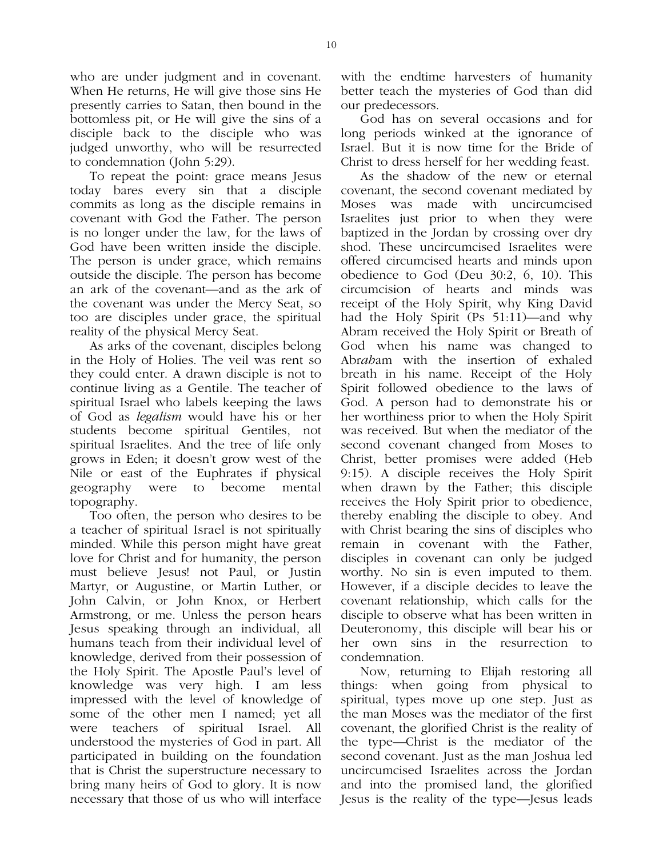who are under judgment and in covenant. When He returns, He will give those sins He presently carries to Satan, then bound in the bottomless pit, or He will give the sins of a disciple back to the disciple who was judged unworthy, who will be resurrected to condemnation (John 5:29).

To repeat the point: grace means Jesus today bares every sin that a disciple commits as long as the disciple remains in covenant with God the Father. The person is no longer under the law, for the laws of God have been written inside the disciple. The person is under grace, which remains outside the disciple. The person has become an ark of the covenant—and as the ark of the covenant was under the Mercy Seat, so too are disciples under grace, the spiritual reality of the physical Mercy Seat.

As arks of the covenant, disciples belong in the Holy of Holies. The veil was rent so they could enter. A drawn disciple is not to continue living as a Gentile. The teacher of spiritual Israel who labels keeping the laws of God as *legalism* would have his or her students become spiritual Gentiles, not spiritual Israelites. And the tree of life only grows in Eden; it doesn't grow west of the Nile or east of the Euphrates if physical geography were to become mental topography.

Too often, the person who desires to be a teacher of spiritual Israel is not spiritually minded. While this person might have great love for Christ and for humanity, the person must believe Jesus! not Paul, or Justin Martyr, or Augustine, or Martin Luther, or John Calvin, or John Knox, or Herbert Armstrong, or me. Unless the person hears Jesus speaking through an individual, all humans teach from their individual level of knowledge, derived from their possession of the Holy Spirit. The Apostle Paul's level of knowledge was very high. I am less impressed with the level of knowledge of some of the other men I named; yet all were teachers of spiritual Israel. All understood the mysteries of God in part. All participated in building on the foundation that is Christ the superstructure necessary to bring many heirs of God to glory. It is now necessary that those of us who will interface

with the endtime harvesters of humanity better teach the mysteries of God than did our predecessors.

God has on several occasions and for long periods winked at the ignorance of Israel. But it is now time for the Bride of Christ to dress herself for her wedding feast.

As the shadow of the new or eternal covenant, the second covenant mediated by Moses was made with uncircumcised Israelites just prior to when they were baptized in the Jordan by crossing over dry shod. These uncircumcised Israelites were offered circumcised hearts and minds upon obedience to God (Deu 30:2, 6, 10). This circumcision of hearts and minds was receipt of the Holy Spirit, why King David had the Holy Spirit (Ps 51:11)—and why Abram received the Holy Spirit or Breath of God when his name was changed to Abr*ah*am with the insertion of exhaled breath in his name. Receipt of the Holy Spirit followed obedience to the laws of God. A person had to demonstrate his or her worthiness prior to when the Holy Spirit was received. But when the mediator of the second covenant changed from Moses to Christ, better promises were added (Heb 9:15). A disciple receives the Holy Spirit when drawn by the Father; this disciple receives the Holy Spirit prior to obedience, thereby enabling the disciple to obey. And with Christ bearing the sins of disciples who remain in covenant with the Father, disciples in covenant can only be judged worthy. No sin is even imputed to them. However, if a disciple decides to leave the covenant relationship, which calls for the disciple to observe what has been written in Deuteronomy, this disciple will bear his or her own sins in the resurrection to condemnation.

Now, returning to Elijah restoring all things: when going from physical to spiritual, types move up one step. Just as the man Moses was the mediator of the first covenant, the glorified Christ is the reality of the type—Christ is the mediator of the second covenant. Just as the man Joshua led uncircumcised Israelites across the Jordan and into the promised land, the glorified Jesus is the reality of the type—Jesus leads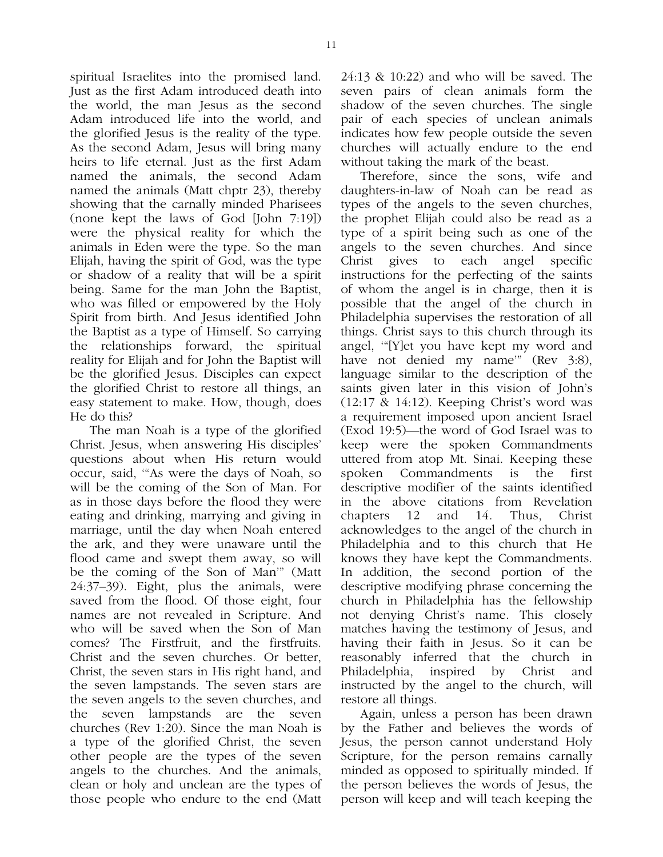spiritual Israelites into the promised land. Just as the first Adam introduced death into the world, the man Jesus as the second Adam introduced life into the world, and the glorified Jesus is the reality of the type. As the second Adam, Jesus will bring many heirs to life eternal. Just as the first Adam named the animals, the second Adam named the animals (Matt chptr 23), thereby showing that the carnally minded Pharisees (none kept the laws of God [John 7:19]) were the physical reality for which the animals in Eden were the type. So the man Elijah, having the spirit of God, was the type or shadow of a reality that will be a spirit being. Same for the man John the Baptist, who was filled or empowered by the Holy Spirit from birth. And Jesus identified John the Baptist as a type of Himself. So carrying the relationships forward, the spiritual reality for Elijah and for John the Baptist will be the glorified Jesus. Disciples can expect the glorified Christ to restore all things, an easy statement to make. How, though, does He do this?

The man Noah is a type of the glorified Christ. Jesus, when answering His disciples' questions about when His return would occur, said, '"As were the days of Noah, so will be the coming of the Son of Man. For as in those days before the flood they were eating and drinking, marrying and giving in marriage, until the day when Noah entered the ark, and they were unaware until the flood came and swept them away, so will be the coming of the Son of Man'" (Matt 24:37–39). Eight, plus the animals, were saved from the flood. Of those eight, four names are not revealed in Scripture. And who will be saved when the Son of Man comes? The Firstfruit, and the firstfruits. Christ and the seven churches. Or better, Christ, the seven stars in His right hand, and the seven lampstands. The seven stars are the seven angels to the seven churches, and the seven lampstands are the seven churches (Rev 1:20). Since the man Noah is a type of the glorified Christ, the seven other people are the types of the seven angels to the churches. And the animals, clean or holy and unclean are the types of those people who endure to the end (Matt

24:13 & 10:22) and who will be saved. The seven pairs of clean animals form the shadow of the seven churches. The single pair of each species of unclean animals indicates how few people outside the seven churches will actually endure to the end without taking the mark of the beast.

Therefore, since the sons, wife and daughters-in-law of Noah can be read as types of the angels to the seven churches, the prophet Elijah could also be read as a type of a spirit being such as one of the angels to the seven churches. And since Christ gives to each angel specific instructions for the perfecting of the saints of whom the angel is in charge, then it is possible that the angel of the church in Philadelphia supervises the restoration of all things. Christ says to this church through its angel, '"[Y]et you have kept my word and have not denied my name<sup>"</sup> (Rev 3:8), language similar to the description of the saints given later in this vision of John's (12:17 & 14:12). Keeping Christ's word was a requirement imposed upon ancient Israel (Exod 19:5)—the word of God Israel was to keep were the spoken Commandments uttered from atop Mt. Sinai. Keeping these spoken Commandments is the first descriptive modifier of the saints identified in the above citations from Revelation chapters 12 and 14. Thus, Christ acknowledges to the angel of the church in Philadelphia and to this church that He knows they have kept the Commandments. In addition, the second portion of the descriptive modifying phrase concerning the church in Philadelphia has the fellowship not denying Christ's name. This closely matches having the testimony of Jesus, and having their faith in Jesus. So it can be reasonably inferred that the church in Philadelphia, inspired by Christ and instructed by the angel to the church, will restore all things.

Again, unless a person has been drawn by the Father and believes the words of Jesus, the person cannot understand Holy Scripture, for the person remains carnally minded as opposed to spiritually minded. If the person believes the words of Jesus, the person will keep and will teach keeping the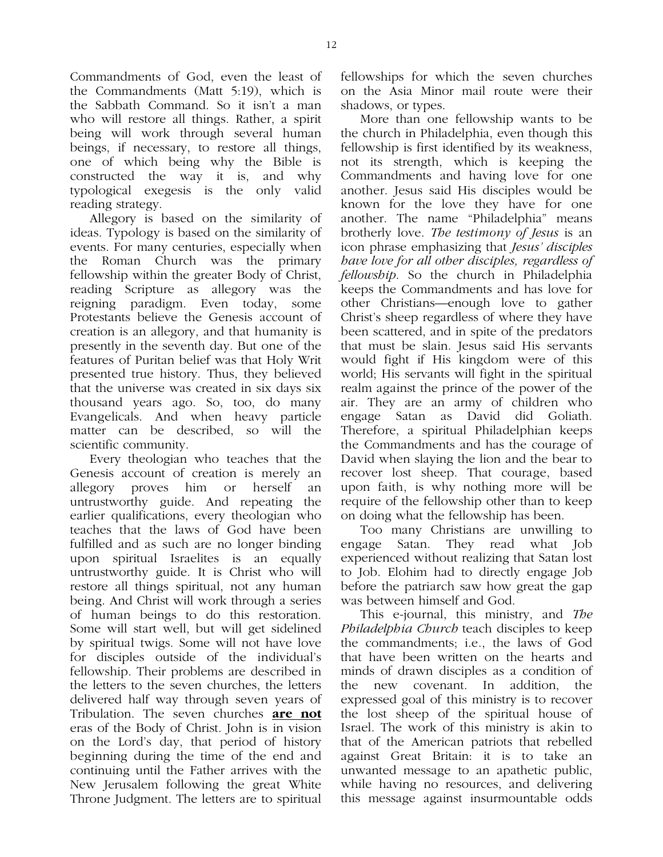Commandments of God, even the least of the Commandments (Matt 5:19), which is the Sabbath Command. So it isn't a man who will restore all things. Rather, a spirit being will work through several human beings, if necessary, to restore all things, one of which being why the Bible is constructed the way it is, and why typological exegesis is the only valid reading strategy.

Allegory is based on the similarity of ideas. Typology is based on the similarity of events. For many centuries, especially when the Roman Church was the primary fellowship within the greater Body of Christ, reading Scripture as allegory was the reigning paradigm. Even today, some Protestants believe the Genesis account of creation is an allegory, and that humanity is presently in the seventh day. But one of the features of Puritan belief was that Holy Writ presented true history. Thus, they believed that the universe was created in six days six thousand years ago. So, too, do many Evangelicals. And when heavy particle matter can be described, so will the scientific community.

Every theologian who teaches that the Genesis account of creation is merely an allegory proves him or herself an untrustworthy guide. And repeating the earlier qualifications, every theologian who teaches that the laws of God have been fulfilled and as such are no longer binding upon spiritual Israelites is an equally untrustworthy guide. It is Christ who will restore all things spiritual, not any human being. And Christ will work through a series of human beings to do this restoration. Some will start well, but will get sidelined by spiritual twigs. Some will not have love for disciples outside of the individual's fellowship. Their problems are described in the letters to the seven churches, the letters delivered half way through seven years of Tribulation. The seven churches **are not** eras of the Body of Christ. John is in vision on the Lord's day, that period of history beginning during the time of the end and continuing until the Father arrives with the New Jerusalem following the great White Throne Judgment. The letters are to spiritual

fellowships for which the seven churches on the Asia Minor mail route were their shadows, or types.

More than one fellowship wants to be the church in Philadelphia, even though this fellowship is first identified by its weakness, not its strength, which is keeping the Commandments and having love for one another. Jesus said His disciples would be known for the love they have for one another. The name "Philadelphia" means brotherly love. *The testimony of Jesus* is an icon phrase emphasizing that *Jesus' disciples have love for all other disciples, regardless of fellowship*. So the church in Philadelphia keeps the Commandments and has love for other Christians—enough love to gather Christ's sheep regardless of where they have been scattered, and in spite of the predators that must be slain. Jesus said His servants would fight if His kingdom were of this world; His servants will fight in the spiritual realm against the prince of the power of the air. They are an army of children who engage Satan as David did Goliath. Therefore, a spiritual Philadelphian keeps the Commandments and has the courage of David when slaying the lion and the bear to recover lost sheep. That courage, based upon faith, is why nothing more will be require of the fellowship other than to keep on doing what the fellowship has been.

Too many Christians are unwilling to engage Satan. They read what Job experienced without realizing that Satan lost to Job. Elohim had to directly engage Job before the patriarch saw how great the gap was between himself and God.

This e-journal, this ministry, and *The Philadelphia Church* teach disciples to keep the commandments; i.e., the laws of God that have been written on the hearts and minds of drawn disciples as a condition of the new covenant. In addition, the expressed goal of this ministry is to recover the lost sheep of the spiritual house of Israel. The work of this ministry is akin to that of the American patriots that rebelled against Great Britain: it is to take an unwanted message to an apathetic public, while having no resources, and delivering this message against insurmountable odds